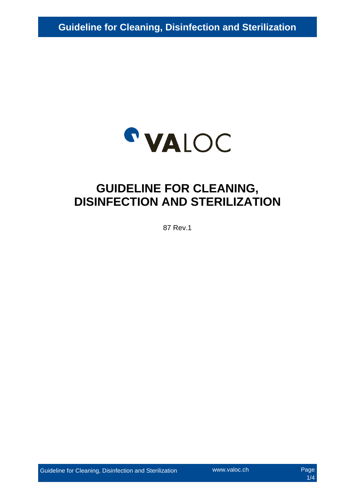

# **GUIDELINE FOR CLEANING, DISINFECTION AND STERILIZATION**

87 Rev.1

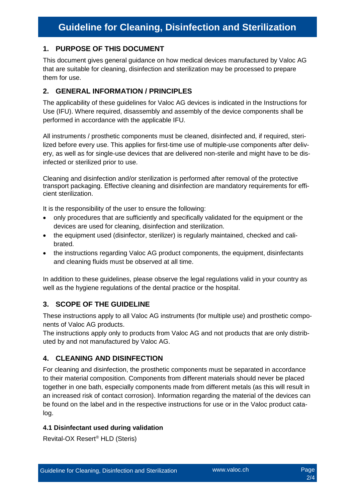# **1. PURPOSE OF THIS DOCUMENT**

This document gives general guidance on how medical devices manufactured by Valoc AG that are suitable for cleaning, disinfection and sterilization may be processed to prepare them for use.

# **2. GENERAL INFORMATION / PRINCIPLES**

The applicability of these guidelines for Valoc AG devices is indicated in the Instructions for Use (IFU). Where required, disassembly and assembly of the device components shall be performed in accordance with the applicable IFU.

All instruments / prosthetic components must be cleaned, disinfected and, if required, sterilized before every use. This applies for first-time use of multiple-use components after delivery, as well as for single-use devices that are delivered non-sterile and might have to be disinfected or sterilized prior to use.

Cleaning and disinfection and/or sterilization is performed after removal of the protective transport packaging. Effective cleaning and disinfection are mandatory requirements for efficient sterilization.

It is the responsibility of the user to ensure the following:

- only procedures that are sufficiently and specifically validated for the equipment or the devices are used for cleaning, disinfection and sterilization.
- the equipment used (disinfector, sterilizer) is regularly maintained, checked and calibrated.
- the instructions regarding Valoc AG product components, the equipment, disinfectants and cleaning fluids must be observed at all time.

In addition to these guidelines, please observe the legal regulations valid in your country as well as the hygiene regulations of the dental practice or the hospital.

# **3. SCOPE OF THE GUIDELINE**

These instructions apply to all Valoc AG instruments (for multiple use) and prosthetic components of Valoc AG products.

The instructions apply only to products from Valoc AG and not products that are only distributed by and not manufactured by Valoc AG.

# **4. CLEANING AND DISINFECTION**

For cleaning and disinfection, the prosthetic components must be separated in accordance to their material composition. Components from different materials should never be placed together in one bath, especially components made from different metals (as this will result in an increased risk of contact corrosion). Information regarding the material of the devices can be found on the label and in the respective instructions for use or in the Valoc product catalog.

#### **4.1 Disinfectant used during validation**

Revital-OX Resert® HLD (Steris)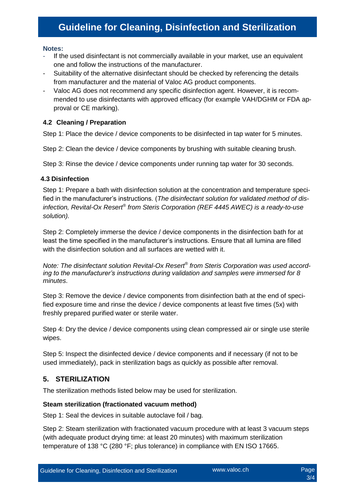# **Guideline for Cleaning, Disinfection and Sterilization**

#### **Notes:**

- If the used disinfectant is not commercially available in your market, use an equivalent one and follow the instructions of the manufacturer.
- Suitability of the alternative disinfectant should be checked by referencing the details from manufacturer and the material of Valoc AG product components.
- Valoc AG does not recommend any specific disinfection agent. However, it is recommended to use disinfectants with approved efficacy (for example VAH/DGHM or FDA approval or CE marking).

#### **4.2 Cleaning / Preparation**

Step 1: Place the device / device components to be disinfected in tap water for 5 minutes.

Step 2: Clean the device / device components by brushing with suitable cleaning brush.

Step 3: Rinse the device / device components under running tap water for 30 seconds.

#### **4.3 Disinfection**

Step 1: Prepare a bath with disinfection solution at the concentration and temperature specified in the manufacturer's instructions. (*The disinfectant solution for validated method of disinfection, Revital-Ox Resert®* from Steris Corporation (REF 4445 AWEC) is a ready-to-use *solution).*

Step 2: Completely immerse the device / device components in the disinfection bath for at least the time specified in the manufacturer's instructions. Ensure that all lumina are filled with the disinfection solution and all surfaces are wetted with it.

*Note: The disinfectant solution Revital-Ox Resert® from Steris Corporation was used according to the manufacturer's instructions during validation and samples were immersed for 8 minutes*.

Step 3: Remove the device / device components from disinfection bath at the end of specified exposure time and rinse the device / device components at least five times (5x) with freshly prepared purified water or sterile water.

Step 4: Dry the device / device components using clean compressed air or single use sterile wipes.

Step 5: Inspect the disinfected device / device components and if necessary (if not to be used immediately), pack in sterilization bags as quickly as possible after removal.

# **5. STERILIZATION**

The sterilization methods listed below may be used for sterilization.

#### **Steam sterilization (fractionated vacuum method)**

Step 1: Seal the devices in suitable autoclave foil / bag.

Step 2: Steam sterilization with fractionated vacuum procedure with at least 3 vacuum steps (with adequate product drying time: at least 20 minutes) with maximum sterilization temperature of 138 °C (280 °F; plus tolerance) in compliance with EN ISO 17665.